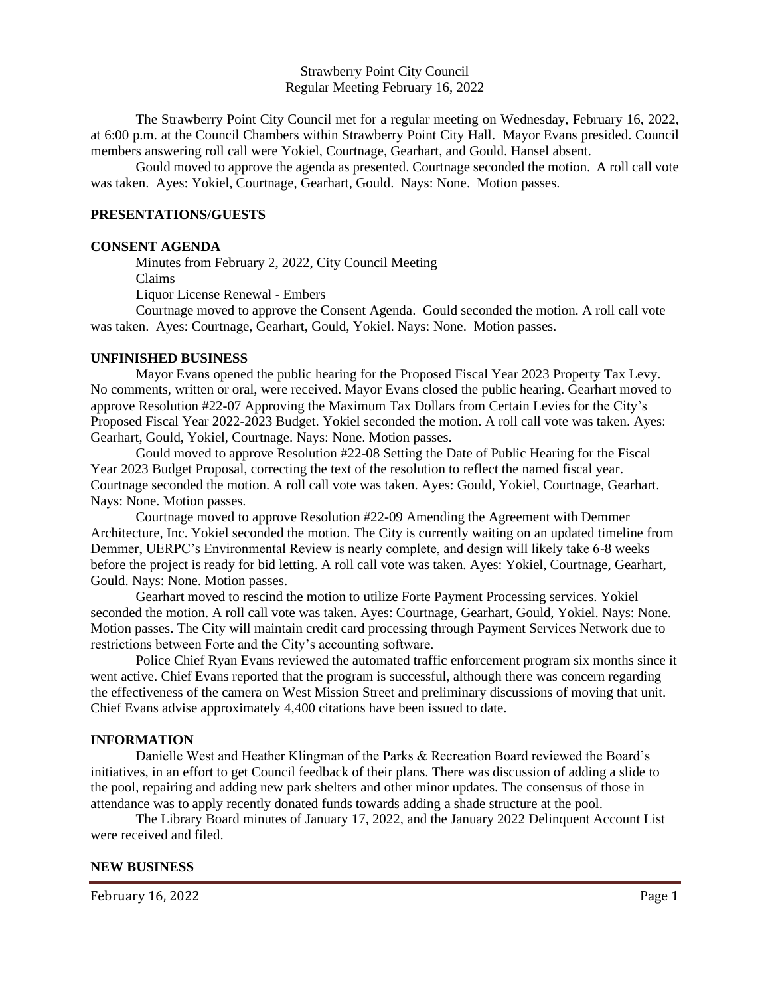Strawberry Point City Council Regular Meeting February 16, 2022

The Strawberry Point City Council met for a regular meeting on Wednesday, February 16, 2022, at 6:00 p.m. at the Council Chambers within Strawberry Point City Hall. Mayor Evans presided. Council members answering roll call were Yokiel, Courtnage, Gearhart, and Gould. Hansel absent.

Gould moved to approve the agenda as presented. Courtnage seconded the motion. A roll call vote was taken. Ayes: Yokiel, Courtnage, Gearhart, Gould. Nays: None. Motion passes.

## **PRESENTATIONS/GUESTS**

#### **CONSENT AGENDA**

 Minutes from February 2, 2022, City Council Meeting Claims

Liquor License Renewal - Embers

Courtnage moved to approve the Consent Agenda. Gould seconded the motion. A roll call vote was taken. Ayes: Courtnage, Gearhart, Gould, Yokiel. Nays: None. Motion passes.

### **UNFINISHED BUSINESS**

Mayor Evans opened the public hearing for the Proposed Fiscal Year 2023 Property Tax Levy. No comments, written or oral, were received. Mayor Evans closed the public hearing. Gearhart moved to approve Resolution #22-07 Approving the Maximum Tax Dollars from Certain Levies for the City's Proposed Fiscal Year 2022-2023 Budget. Yokiel seconded the motion. A roll call vote was taken. Ayes: Gearhart, Gould, Yokiel, Courtnage. Nays: None. Motion passes.

Gould moved to approve Resolution #22-08 Setting the Date of Public Hearing for the Fiscal Year 2023 Budget Proposal, correcting the text of the resolution to reflect the named fiscal year. Courtnage seconded the motion. A roll call vote was taken. Ayes: Gould, Yokiel, Courtnage, Gearhart. Nays: None. Motion passes.

Courtnage moved to approve Resolution #22-09 Amending the Agreement with Demmer Architecture, Inc. Yokiel seconded the motion. The City is currently waiting on an updated timeline from Demmer, UERPC's Environmental Review is nearly complete, and design will likely take 6-8 weeks before the project is ready for bid letting. A roll call vote was taken. Ayes: Yokiel, Courtnage, Gearhart, Gould. Nays: None. Motion passes.

Gearhart moved to rescind the motion to utilize Forte Payment Processing services. Yokiel seconded the motion. A roll call vote was taken. Ayes: Courtnage, Gearhart, Gould, Yokiel. Nays: None. Motion passes. The City will maintain credit card processing through Payment Services Network due to restrictions between Forte and the City's accounting software.

Police Chief Ryan Evans reviewed the automated traffic enforcement program six months since it went active. Chief Evans reported that the program is successful, although there was concern regarding the effectiveness of the camera on West Mission Street and preliminary discussions of moving that unit. Chief Evans advise approximately 4,400 citations have been issued to date.

#### **INFORMATION**

Danielle West and Heather Klingman of the Parks & Recreation Board reviewed the Board's initiatives, in an effort to get Council feedback of their plans. There was discussion of adding a slide to the pool, repairing and adding new park shelters and other minor updates. The consensus of those in attendance was to apply recently donated funds towards adding a shade structure at the pool.

The Library Board minutes of January 17, 2022, and the January 2022 Delinquent Account List were received and filed.

#### **NEW BUSINESS**